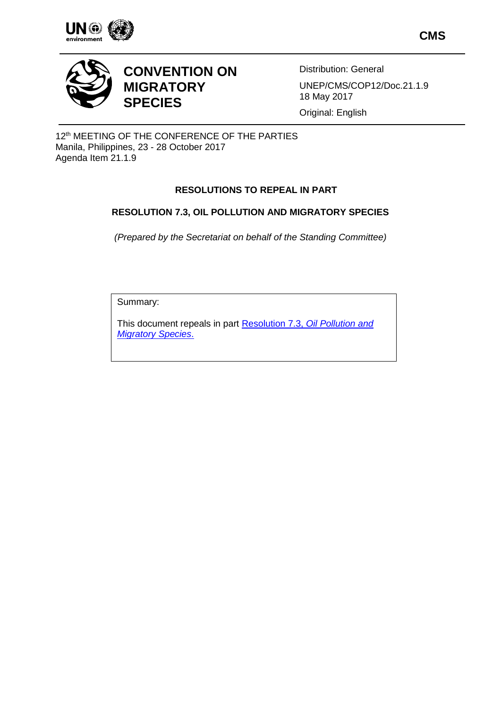

**CMS**



# **CONVENTION ON MIGRATORY SPECIES**

Distribution: General UNEP/CMS/COP12/Doc.21.1.9 18 May 2017

Original: English

12<sup>th</sup> MEETING OF THE CONFERENCE OF THE PARTIES Manila, Philippines, 23 - 28 October 2017 Agenda Item 21.1.9

## **RESOLUTIONS TO REPEAL IN PART**

### **RESOLUTION 7.3, OIL POLLUTION AND MIGRATORY SPECIES**

*(Prepared by the Secretariat on behalf of the Standing Committee)*

Summary:

This document repeals in part Resolution 7.3, *[Oil Pollution and](http://www.cms.int/en/document/oil-pollution-and-migratory-species)  [Migratory Species](http://www.cms.int/en/document/oil-pollution-and-migratory-species)*.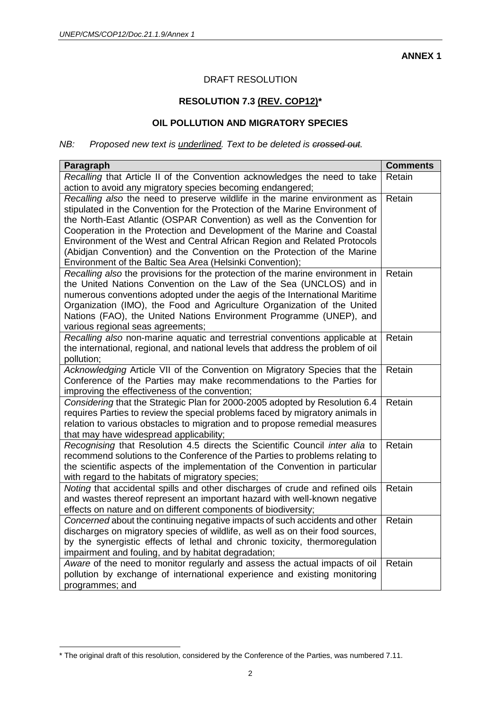**ANNEX 1**

### DRAFT RESOLUTION

### **RESOLUTION 7.3 (REV. COP12)\***

#### **OIL POLLUTION AND MIGRATORY SPECIES**

#### *NB: Proposed new text is underlined. Text to be deleted is crossed out.*

| Paragraph                                                                                                                                                                                                                                                                                                                                                                                                                                                                                                                            | <b>Comments</b> |
|--------------------------------------------------------------------------------------------------------------------------------------------------------------------------------------------------------------------------------------------------------------------------------------------------------------------------------------------------------------------------------------------------------------------------------------------------------------------------------------------------------------------------------------|-----------------|
| Recalling that Article II of the Convention acknowledges the need to take<br>action to avoid any migratory species becoming endangered;                                                                                                                                                                                                                                                                                                                                                                                              | Retain          |
| Recalling also the need to preserve wildlife in the marine environment as<br>stipulated in the Convention for the Protection of the Marine Environment of<br>the North-East Atlantic (OSPAR Convention) as well as the Convention for<br>Cooperation in the Protection and Development of the Marine and Coastal<br>Environment of the West and Central African Region and Related Protocols<br>(Abidjan Convention) and the Convention on the Protection of the Marine<br>Environment of the Baltic Sea Area (Helsinki Convention); | Retain          |
| Recalling also the provisions for the protection of the marine environment in<br>the United Nations Convention on the Law of the Sea (UNCLOS) and in<br>numerous conventions adopted under the aegis of the International Maritime<br>Organization (IMO), the Food and Agriculture Organization of the United<br>Nations (FAO), the United Nations Environment Programme (UNEP), and<br>various regional seas agreements;                                                                                                            | Retain          |
| Recalling also non-marine aquatic and terrestrial conventions applicable at<br>the international, regional, and national levels that address the problem of oil<br>pollution;                                                                                                                                                                                                                                                                                                                                                        | Retain          |
| Acknowledging Article VII of the Convention on Migratory Species that the<br>Conference of the Parties may make recommendations to the Parties for<br>improving the effectiveness of the convention;                                                                                                                                                                                                                                                                                                                                 | Retain          |
| Considering that the Strategic Plan for 2000-2005 adopted by Resolution 6.4<br>requires Parties to review the special problems faced by migratory animals in<br>relation to various obstacles to migration and to propose remedial measures<br>that may have widespread applicability;                                                                                                                                                                                                                                               | Retain          |
| Recognising that Resolution 4.5 directs the Scientific Council inter alia to<br>recommend solutions to the Conference of the Parties to problems relating to<br>the scientific aspects of the implementation of the Convention in particular<br>with regard to the habitats of migratory species;                                                                                                                                                                                                                                    | Retain          |
| Noting that accidental spills and other discharges of crude and refined oils<br>and wastes thereof represent an important hazard with well-known negative<br>effects on nature and on different components of biodiversity;                                                                                                                                                                                                                                                                                                          | Retain          |
| Concerned about the continuing negative impacts of such accidents and other<br>discharges on migratory species of wildlife, as well as on their food sources,<br>by the synergistic effects of lethal and chronic toxicity, thermoregulation<br>impairment and fouling, and by habitat degradation;                                                                                                                                                                                                                                  | Retain          |
| Aware of the need to monitor regularly and assess the actual impacts of oil<br>pollution by exchange of international experience and existing monitoring<br>programmes; and                                                                                                                                                                                                                                                                                                                                                          | Retain          |

 $\overline{a}$ 

<sup>\*</sup> The original draft of this resolution, considered by the Conference of the Parties, was numbered 7.11.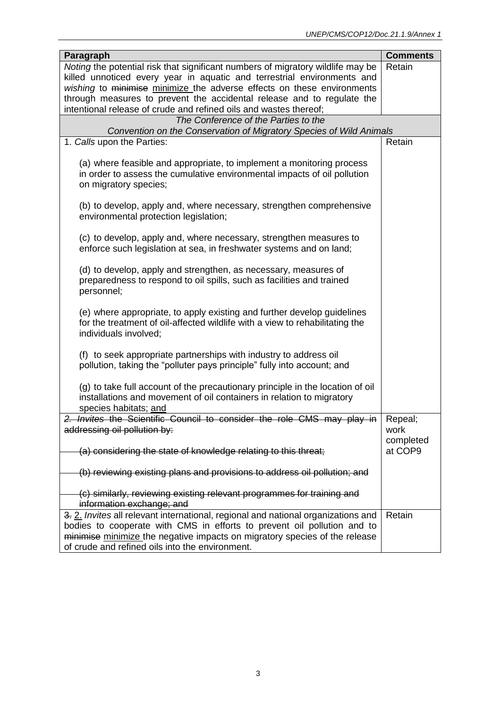| Paragraph                                                                                                                                                                        | <b>Comments</b>      |  |
|----------------------------------------------------------------------------------------------------------------------------------------------------------------------------------|----------------------|--|
| Noting the potential risk that significant numbers of migratory wildlife may be                                                                                                  | Retain               |  |
| killed unnoticed every year in aquatic and terrestrial environments and                                                                                                          |                      |  |
| wishing to minimise minimize the adverse effects on these environments                                                                                                           |                      |  |
| through measures to prevent the accidental release and to regulate the                                                                                                           |                      |  |
| intentional release of crude and refined oils and wastes thereof;                                                                                                                |                      |  |
| The Conference of the Parties to the                                                                                                                                             |                      |  |
| Convention on the Conservation of Migratory Species of Wild Animals                                                                                                              |                      |  |
| 1. Calls upon the Parties:                                                                                                                                                       | Retain               |  |
| (a) where feasible and appropriate, to implement a monitoring process<br>in order to assess the cumulative environmental impacts of oil pollution<br>on migratory species;       |                      |  |
| (b) to develop, apply and, where necessary, strengthen comprehensive<br>environmental protection legislation;                                                                    |                      |  |
| (c) to develop, apply and, where necessary, strengthen measures to<br>enforce such legislation at sea, in freshwater systems and on land;                                        |                      |  |
| (d) to develop, apply and strengthen, as necessary, measures of<br>preparedness to respond to oil spills, such as facilities and trained<br>personnel;                           |                      |  |
| (e) where appropriate, to apply existing and further develop guidelines<br>for the treatment of oil-affected wildlife with a view to rehabilitating the<br>individuals involved; |                      |  |
| (f) to seek appropriate partnerships with industry to address oil<br>pollution, taking the "polluter pays principle" fully into account; and                                     |                      |  |
| (g) to take full account of the precautionary principle in the location of oil<br>installations and movement of oil containers in relation to migratory<br>species habitats; and |                      |  |
| 2. Invites the Scientific Council to consider the role CMS may play in                                                                                                           | Repeal;              |  |
| addressing oil pollution by:                                                                                                                                                     | work                 |  |
| (a) considering the state of knowledge relating to this threat;                                                                                                                  | completed<br>at COP9 |  |
| (b) reviewing existing plans and provisions to address oil pollution; and                                                                                                        |                      |  |
| (c) similarly, reviewing existing relevant programmes for training and<br>information exchange; and                                                                              |                      |  |
| 3. 2. Invites all relevant international, regional and national organizations and                                                                                                | Retain               |  |
| bodies to cooperate with CMS in efforts to prevent oil pollution and to                                                                                                          |                      |  |
| minimise minimize the negative impacts on migratory species of the release                                                                                                       |                      |  |
| of crude and refined oils into the environment.                                                                                                                                  |                      |  |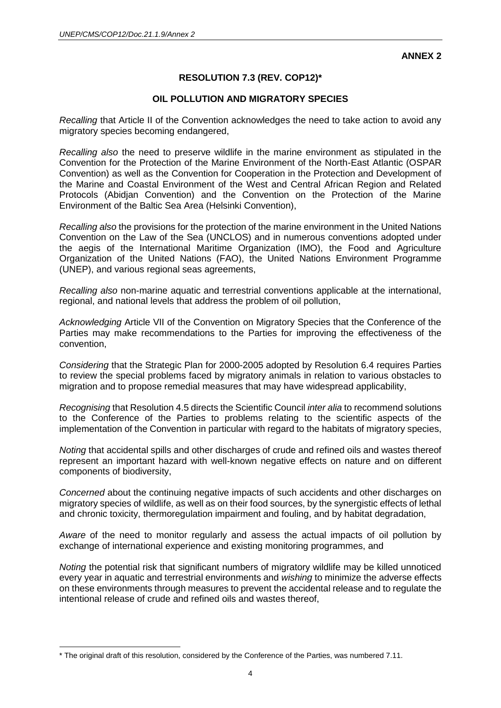**ANNEX 2**

### **RESOLUTION 7.3 (REV. COP12)\***

#### **OIL POLLUTION AND MIGRATORY SPECIES**

*Recalling* that Article II of the Convention acknowledges the need to take action to avoid any migratory species becoming endangered,

*Recalling also* the need to preserve wildlife in the marine environment as stipulated in the Convention for the Protection of the Marine Environment of the North-East Atlantic (OSPAR Convention) as well as the Convention for Cooperation in the Protection and Development of the Marine and Coastal Environment of the West and Central African Region and Related Protocols (Abidjan Convention) and the Convention on the Protection of the Marine Environment of the Baltic Sea Area (Helsinki Convention),

*Recalling also* the provisions for the protection of the marine environment in the United Nations Convention on the Law of the Sea (UNCLOS) and in numerous conventions adopted under the aegis of the International Maritime Organization (IMO), the Food and Agriculture Organization of the United Nations (FAO), the United Nations Environment Programme (UNEP), and various regional seas agreements,

*Recalling also* non-marine aquatic and terrestrial conventions applicable at the international, regional, and national levels that address the problem of oil pollution,

*Acknowledging* Article VII of the Convention on Migratory Species that the Conference of the Parties may make recommendations to the Parties for improving the effectiveness of the convention,

*Considering* that the Strategic Plan for 2000-2005 adopted by Resolution 6.4 requires Parties to review the special problems faced by migratory animals in relation to various obstacles to migration and to propose remedial measures that may have widespread applicability,

*Recognising* that Resolution 4.5 directs the Scientific Council *inter alia* to recommend solutions to the Conference of the Parties to problems relating to the scientific aspects of the implementation of the Convention in particular with regard to the habitats of migratory species,

*Noting* that accidental spills and other discharges of crude and refined oils and wastes thereof represent an important hazard with well-known negative effects on nature and on different components of biodiversity,

*Concerned* about the continuing negative impacts of such accidents and other discharges on migratory species of wildlife, as well as on their food sources, by the synergistic effects of lethal and chronic toxicity, thermoregulation impairment and fouling, and by habitat degradation,

*Aware* of the need to monitor regularly and assess the actual impacts of oil pollution by exchange of international experience and existing monitoring programmes, and

*Noting* the potential risk that significant numbers of migratory wildlife may be killed unnoticed every year in aquatic and terrestrial environments and *wishing* to minimize the adverse effects on these environments through measures to prevent the accidental release and to regulate the intentional release of crude and refined oils and wastes thereof,

 $\overline{a}$ 

<sup>\*</sup> The original draft of this resolution, considered by the Conference of the Parties, was numbered 7.11.